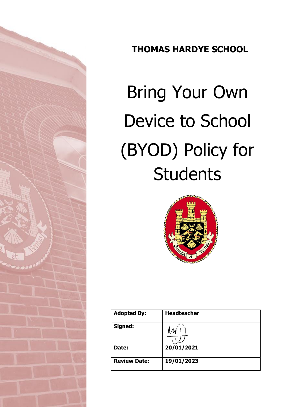

# **THOMAS HARDYE SCHOOL**

# Bring Your Own Device to School (BYOD) Policy for **Students**



| <b>Adopted By:</b>  | <b>Headteacher</b> |
|---------------------|--------------------|
| Signed:             |                    |
| Date:               | 20/01/2021         |
| <b>Review Date:</b> | 19/01/2023         |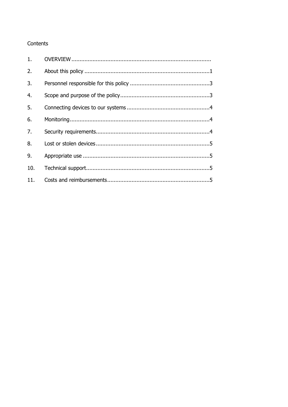# Contents

| 2.  |  |
|-----|--|
| 3.  |  |
| 4.  |  |
| 5.  |  |
| 6.  |  |
| 7.  |  |
| 8.  |  |
| 9.  |  |
| 10. |  |
|     |  |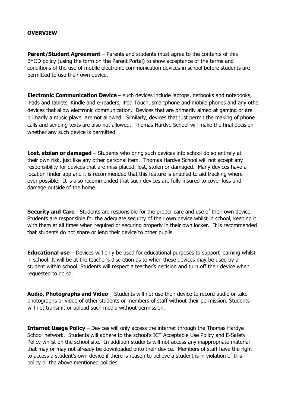### **OVERVIEW**

**Parent/Student Agreement** – Parents and students must agree to the contents of this BYOD policy (using the form on the Parent Portal) to show acceptance of the terms and conditions of the use of mobile electronic communication devices in school before students are permitted to use their own device.

**Electronic Communication Device** – such devices include laptops, netbooks and notebooks, iPads and tablets, Kindle and e-readers, iPod Touch, smartphone and mobile phones and any other devices that allow electronic communication. Devices that are primarily aimed at gaming or are primarily a music player are not allowed. Similarly, devices that just permit the making of phone calls and sending texts are also not allowed. Thomas Hardye School will make the final decision whether any such device is permitted.

**Lost, stolen or damaged** – Students who bring such devices into school do so entirely at their own risk, just like any other personal item. Thomas Hardye School will not accept any responsibility for devices that are miss-placed, lost, stolen or damaged. Many devices have a location finder app and it is recommended that this feature is enabled to aid tracking where ever possible. It is also recommended that such devices are fully insured to cover loss and damage outside of the home.

**Security and Care** - Students are responsible for the proper care and use of their own device. Students are responsible for the adequate security of their own device whilst in school, keeping it with them at all times when required or securing properly in their own locker. It is recommended that students do not share or lend their device to other pupils.

**Educational use** – Devices will only be used for educational purposes to support learning whilst in school. It will be at the teacher's discretion as to when these devices may be used by a student within school. Students will respect a teacher's decision and turn off their device when requested to do so.

**Audio, Photographs and Video** – Students will not use their device to record audio or take photographs or video of other students or members of staff without their permission. Students will not transmit or upload such media without permission.

**Internet Usage Policy** – Devices will only access the internet through the Thomas Hardye School network. Students will adhere to the school's ICT Acceptable Use Policy and E-Safety Policy whilst on the school site. In addition students will not access any inappropriate material that may or may not already be downloaded onto their device. Members of staff have the right to access a student's own device if there is reason to believe a student is in violation of this policy or the above mentioned policies.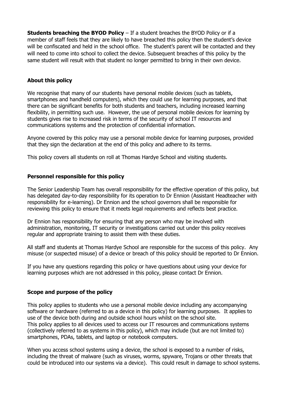**Students breaching the BYOD Policy** – If a student breaches the BYOD Policy or if a member of staff feels that they are likely to have breached this policy then the student's device will be confiscated and held in the school office. The student's parent will be contacted and they will need to come into school to collect the device. Subsequent breaches of this policy by the same student will result with that student no longer permitted to bring in their own device.

# **About this policy**

We recognise that many of our students have personal mobile devices (such as tablets, smartphones and handheld computers), which they could use for learning purposes, and that there can be significant benefits for both students and teachers, including increased learning flexibility, in permitting such use. However, the use of personal mobile devices for learning by students gives rise to increased risk in terms of the security of school IT resources and communications systems and the protection of confidential information.

Anyone covered by this policy may use a personal mobile device for learning purposes, provided that they sign the declaration at the end of this policy and adhere to its terms.

This policy covers all students on roll at Thomas Hardye School and visiting students.

# **Personnel responsible for this policy**

The Senior Leadership Team has overall responsibility for the effective operation of this policy, but has delegated day-to-day responsibility for its operation to Dr Ennion (Assistant Headteacher with responsibility for e-learning). Dr Ennion and the school governors shall be responsible for reviewing this policy to ensure that it meets legal requirements and reflects best practice.

Dr Ennion has responsibility for ensuring that any person who may be involved with administration, monitoring, IT security or investigations carried out under this policy receives regular and appropriate training to assist them with these duties.

All staff and students at Thomas Hardye School are responsible for the success of this policy. Any misuse (or suspected misuse) of a device or breach of this policy should be reported to Dr Ennion.

If you have any questions regarding this policy or have questions about using your device for learning purposes which are not addressed in this policy, please contact Dr Ennion.

#### **Scope and purpose of the policy**

This policy applies to students who use a personal mobile device including any accompanying software or hardware (referred to as a device in this policy) for learning purposes. It applies to use of the device both during and outside school hours whilst on the school site. This policy applies to all devices used to access our IT resources and communications systems (collectively referred to as systems in this policy), which may include (but are not limited to) smartphones, PDAs, tablets, and laptop or notebook computers.

When you access school systems using a device, the school is exposed to a number of risks, including the threat of malware (such as viruses, worms, spyware, Trojans or other threats that could be introduced into our systems via a device). This could result in damage to school systems.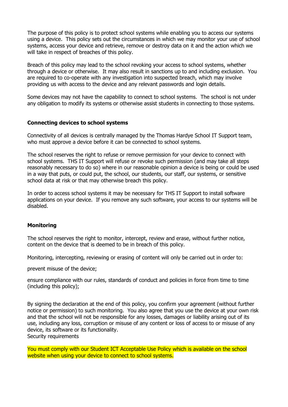The purpose of this policy is to protect school systems while enabling you to access our systems using a device. This policy sets out the circumstances in which we may monitor your use of school systems, access your device and retrieve, remove or destroy data on it and the action which we will take in respect of breaches of this policy.

Breach of this policy may lead to the school revoking your access to school systems, whether through a device or otherwise. It may also result in sanctions up to and including exclusion. You are required to co-operate with any investigation into suspected breach, which may involve providing us with access to the device and any relevant passwords and login details.

Some devices may not have the capability to connect to school systems. The school is not under any obligation to modify its systems or otherwise assist students in connecting to those systems.

#### **Connecting devices to school systems**

Connectivity of all devices is centrally managed by the Thomas Hardye School IT Support team, who must approve a device before it can be connected to school systems.

The school reserves the right to refuse or remove permission for your device to connect with school systems. THS IT Support will refuse or revoke such permission (and may take all steps reasonably necessary to do so) where in our reasonable opinion a device is being or could be used in a way that puts, or could put, the school, our students, our staff, our systems, or sensitive school data at risk or that may otherwise breach this policy.

In order to access school systems it may be necessary for THS IT Support to install software applications on your device. If you remove any such software, your access to our systems will be disabled.

# **Monitoring**

The school reserves the right to monitor, intercept, review and erase, without further notice, content on the device that is deemed to be in breach of this policy.

Monitoring, intercepting, reviewing or erasing of content will only be carried out in order to:

prevent misuse of the device;

ensure compliance with our rules, standards of conduct and policies in force from time to time (including this policy);

By signing the declaration at the end of this policy, you confirm your agreement (without further notice or permission) to such monitoring. You also agree that you use the device at your own risk and that the school will not be responsible for any losses, damages or liability arising out of its use, including any loss, corruption or misuse of any content or loss of access to or misuse of any device, its software or its functionality. Security requirements

You must comply with our Student ICT Acceptable Use Policy which is available on the school website when using your device to connect to school systems.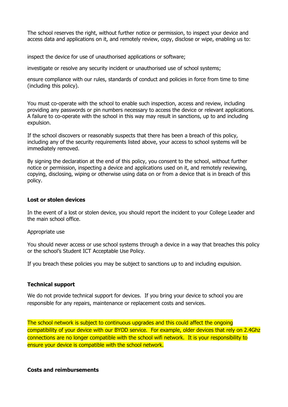The school reserves the right, without further notice or permission, to inspect your device and access data and applications on it, and remotely review, copy, disclose or wipe, enabling us to:

inspect the device for use of unauthorised applications or software;

investigate or resolve any security incident or unauthorised use of school systems;

ensure compliance with our rules, standards of conduct and policies in force from time to time (including this policy).

You must co-operate with the school to enable such inspection, access and review, including providing any passwords or pin numbers necessary to access the device or relevant applications. A failure to co-operate with the school in this way may result in sanctions, up to and including expulsion.

If the school discovers or reasonably suspects that there has been a breach of this policy, including any of the security requirements listed above, your access to school systems will be immediately removed.

By signing the declaration at the end of this policy, you consent to the school, without further notice or permission, inspecting a device and applications used on it, and remotely reviewing, copying, disclosing, wiping or otherwise using data on or from a device that is in breach of this policy.

#### **Lost or stolen devices**

In the event of a lost or stolen device, you should report the incident to your College Leader and the main school office.

#### Appropriate use

You should never access or use school systems through a device in a way that breaches this policy or the school's Student ICT Acceptable Use Policy.

If you breach these policies you may be subject to sanctions up to and including expulsion.

#### **Technical support**

We do not provide technical support for devices. If you bring your device to school you are responsible for any repairs, maintenance or replacement costs and services.

The school network is subject to continuous upgrades and this could affect the ongoing compatibility of your device with our BYOD service. For example, older devices that rely on 2.4Ghz connections are no longer compatible with the school wifi network. It is your responsibility to ensure your device is compatible with the school network.

#### **Costs and reimbursements**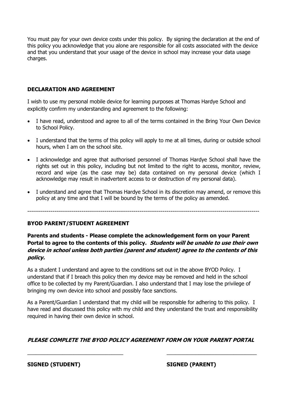You must pay for your own device costs under this policy. By signing the declaration at the end of this policy you acknowledge that you alone are responsible for all costs associated with the device and that you understand that your usage of the device in school may increase your data usage charges.

# **DECLARATION AND AGREEMENT**

I wish to use my personal mobile device for learning purposes at Thomas Hardye School and explicitly confirm my understanding and agreement to the following:

- I have read, understood and agree to all of the terms contained in the Bring Your Own Device to School Policy.
- I understand that the terms of this policy will apply to me at all times, during or outside school hours, when I am on the school site.
- I acknowledge and agree that authorised personnel of Thomas Hardye School shall have the rights set out in this policy, including but not limited to the right to access, monitor, review, record and wipe (as the case may be) data contained on my personal device (which I acknowledge may result in inadvertent access to or destruction of my personal data).
- I understand and agree that Thomas Hardye School in its discretion may amend, or remove this policy at any time and that I will be bound by the terms of the policy as amended.

------------------------------------------------------------------------------------------------------------------------

# **BYOD PARENT/STUDENT AGREEMENT**

**Parents and students - Please complete the acknowledgement form on your Parent Portal to agree to the contents of this policy. Students will be unable to use their own device in school unless both parties (parent and student) agree to the contents of this policy.**

As a student I understand and agree to the conditions set out in the above BYOD Policy. I understand that if I breach this policy then my device may be removed and held in the school office to be collected by my Parent/Guardian. I also understand that I may lose the privilege of bringing my own device into school and possibly face sanctions.

As a Parent/Guardian I understand that my child will be responsible for adhering to this policy. I have read and discussed this policy with my child and they understand the trust and responsibility required in having their own device in school.

# **PLEASE COMPLETE THE BYOD POLICY AGREEMENT FORM ON YOUR PARENT PORTAL**

 $\_$  , and the set of the set of the set of the set of the set of the set of the set of the set of the set of the set of the set of the set of the set of the set of the set of the set of the set of the set of the set of th

**SIGNED (STUDENT) SIGNED (PARENT)**